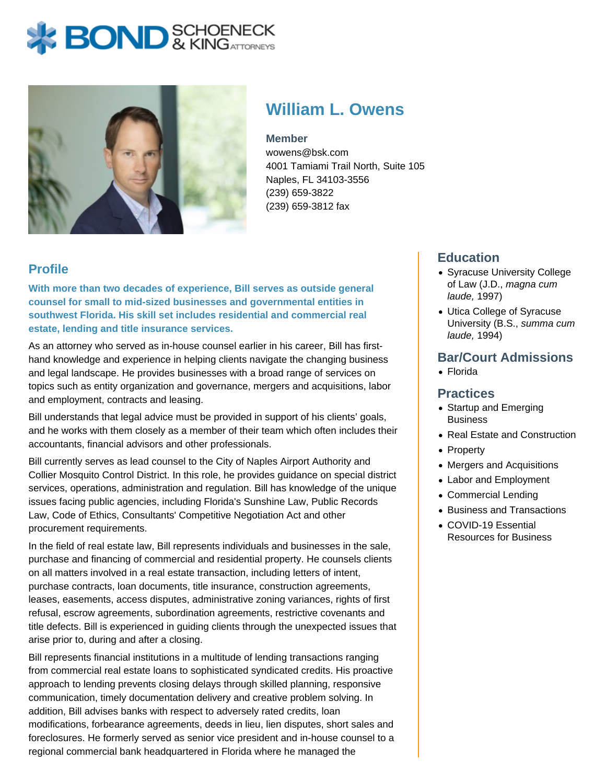# **X: BOND** & KINGATTORNEYS



## **William L. Owens**

#### **Member**

wowens@bsk.com 4001 Tamiami Trail North, Suite 105 Naples, FL 34103-3556 (239) 659-3822 (239) 659-3812 fax

#### **Profile**

**With more than two decades of experience, Bill serves as outside general counsel for small to mid-sized businesses and governmental entities in southwest Florida. His skill set includes residential and commercial real estate, lending and title insurance services.** 

As an attorney who served as in-house counsel earlier in his career, Bill has firsthand knowledge and experience in helping clients navigate the changing business and legal landscape. He provides businesses with a broad range of services on topics such as entity organization and governance, mergers and acquisitions, labor and employment, contracts and leasing.

Bill understands that legal advice must be provided in support of his clients' goals, and he works with them closely as a member of their team which often includes their accountants, financial advisors and other professionals.

Bill currently serves as lead counsel to the City of Naples Airport Authority and Collier Mosquito Control District. In this role, he provides guidance on special district services, operations, administration and regulation. Bill has knowledge of the unique issues facing public agencies, including Florida's Sunshine Law, Public Records Law, Code of Ethics, Consultants' Competitive Negotiation Act and other procurement requirements.

In the field of real estate law, Bill represents individuals and businesses in the sale, purchase and financing of commercial and residential property. He counsels clients on all matters involved in a real estate transaction, including letters of intent, purchase contracts, loan documents, title insurance, construction agreements, leases, easements, access disputes, administrative zoning variances, rights of first refusal, escrow agreements, subordination agreements, restrictive covenants and title defects. Bill is experienced in guiding clients through the unexpected issues that arise prior to, during and after a closing.

Bill represents financial institutions in a multitude of lending transactions ranging from commercial real estate loans to sophisticated syndicated credits. His proactive approach to lending prevents closing delays through skilled planning, responsive communication, timely documentation delivery and creative problem solving. In addition, Bill advises banks with respect to adversely rated credits, loan modifications, forbearance agreements, deeds in lieu, lien disputes, short sales and foreclosures. He formerly served as senior vice president and in-house counsel to a regional commercial bank headquartered in Florida where he managed the

#### **Education**

- Syracuse University College of Law (J.D., magna cum laude, 1997)
- Utica College of Syracuse University (B.S., summa cum laude, 1994)

#### **Bar/Court Admissions**

• Florida

#### **Practices**

- Startup and Emerging **Business**
- Real Estate and Construction
- Property
- Mergers and Acquisitions
- Labor and Employment
- Commercial Lending
- Business and Transactions
- COVID-19 Essential Resources for Business